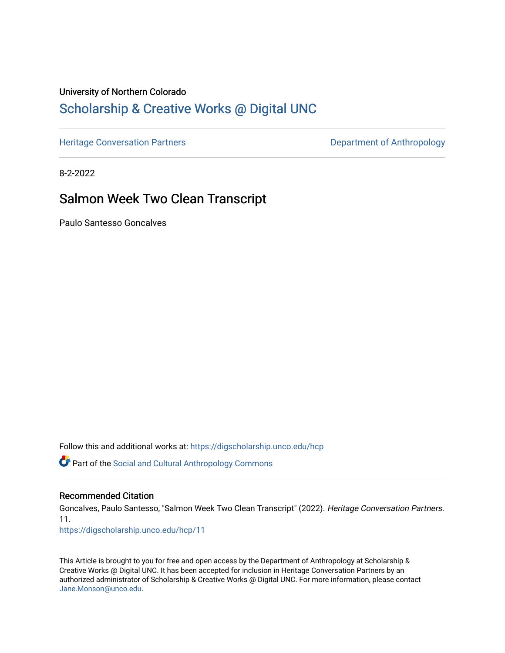# University of Northern Colorado

## [Scholarship & Creative Works @ Digital UNC](https://digscholarship.unco.edu/)

[Heritage Conversation Partners](https://digscholarship.unco.edu/hcp) **Department of Anthropology** 

8-2-2022

## Salmon Week Two Clean Transcript

Paulo Santesso Goncalves

Follow this and additional works at: [https://digscholarship.unco.edu/hcp](https://digscholarship.unco.edu/hcp?utm_source=digscholarship.unco.edu%2Fhcp%2F11&utm_medium=PDF&utm_campaign=PDFCoverPages) 

Part of the [Social and Cultural Anthropology Commons](http://network.bepress.com/hgg/discipline/323?utm_source=digscholarship.unco.edu%2Fhcp%2F11&utm_medium=PDF&utm_campaign=PDFCoverPages) 

#### Recommended Citation

Goncalves, Paulo Santesso, "Salmon Week Two Clean Transcript" (2022). Heritage Conversation Partners. 11.

[https://digscholarship.unco.edu/hcp/11](https://digscholarship.unco.edu/hcp/11?utm_source=digscholarship.unco.edu%2Fhcp%2F11&utm_medium=PDF&utm_campaign=PDFCoverPages) 

This Article is brought to you for free and open access by the Department of Anthropology at Scholarship & Creative Works @ Digital UNC. It has been accepted for inclusion in Heritage Conversation Partners by an authorized administrator of Scholarship & Creative Works @ Digital UNC. For more information, please contact [Jane.Monson@unco.edu.](mailto:Jane.Monson@unco.edu)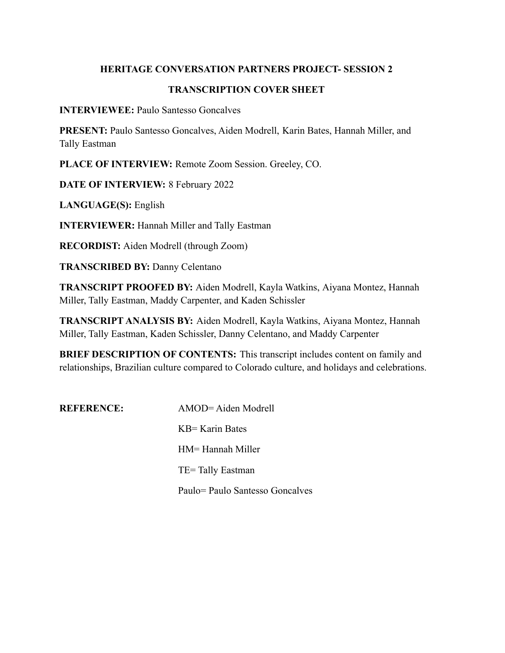#### **HERITAGE CONVERSATION PARTNERS PROJECT- SESSION 2**

#### **TRANSCRIPTION COVER SHEET**

**INTERVIEWEE:** Paulo Santesso Goncalves

**PRESENT:** Paulo Santesso Goncalves, Aiden Modrell, Karin Bates, Hannah Miller, and Tally Eastman

**PLACE OF INTERVIEW:** Remote Zoom Session. Greeley, CO.

**DATE OF INTERVIEW:** 8 February 2022

**LANGUAGE(S):** English

**INTERVIEWER:** Hannah Miller and Tally Eastman

**RECORDIST:** Aiden Modrell (through Zoom)

**TRANSCRIBED BY:** Danny Celentano

**TRANSCRIPT PROOFED BY:** Aiden Modrell, Kayla Watkins, Aiyana Montez, Hannah Miller, Tally Eastman, Maddy Carpenter, and Kaden Schissler

**TRANSCRIPT ANALYSIS BY:** Aiden Modrell, Kayla Watkins, Aiyana Montez, Hannah Miller, Tally Eastman, Kaden Schissler, Danny Celentano, and Maddy Carpenter

**BRIEF DESCRIPTION OF CONTENTS:** This transcript includes content on family and relationships, Brazilian culture compared to Colorado culture, and holidays and celebrations.

**REFERENCE:** AMOD= Aiden Modrell KB= Karin Bates HM= Hannah Miller TE= Tally Eastman Paulo= Paulo Santesso Goncalves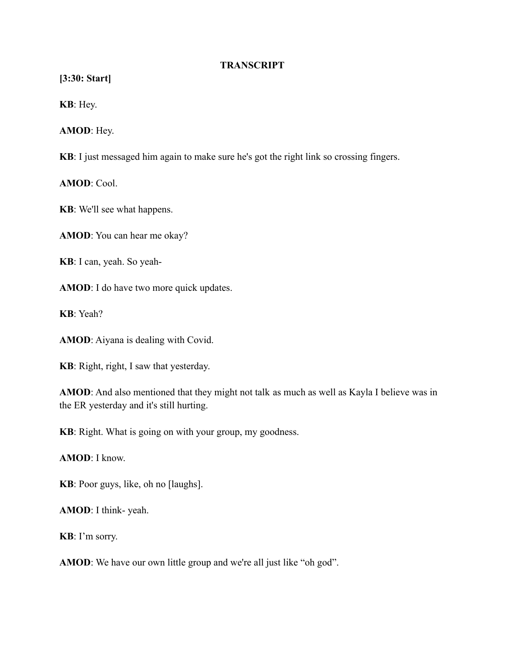#### **TRANSCRIPT**

**[3:30: Start]**

**KB**: Hey.

**AMOD**: Hey.

**KB**: I just messaged him again to make sure he's got the right link so crossing fingers.

**AMOD**: Cool.

**KB**: We'll see what happens.

**AMOD**: You can hear me okay?

**KB**: I can, yeah. So yeah-

**AMOD**: I do have two more quick updates.

**KB**: Yeah?

**AMOD**: Aiyana is dealing with Covid.

**KB**: Right, right, I saw that yesterday.

**AMOD**: And also mentioned that they might not talk as much as well as Kayla I believe was in the ER yesterday and it's still hurting.

**KB**: Right. What is going on with your group, my goodness.

**AMOD**: I know.

**KB**: Poor guys, like, oh no [laughs].

**AMOD**: I think- yeah.

**KB**: I'm sorry.

**AMOD**: We have our own little group and we're all just like "oh god".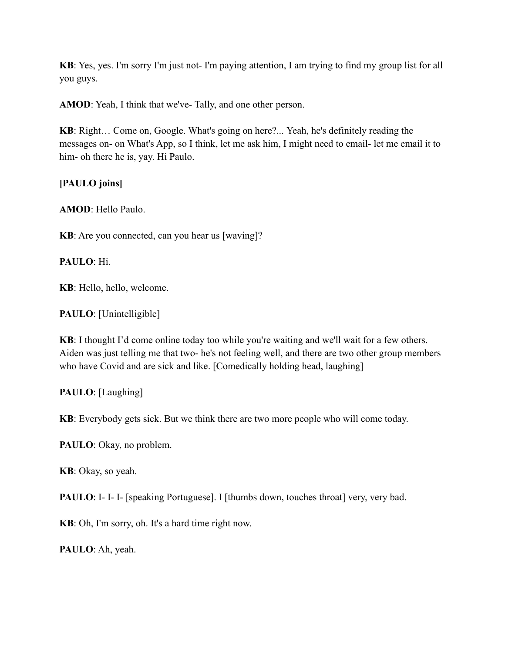**KB**: Yes, yes. I'm sorry I'm just not- I'm paying attention, I am trying to find my group list for all you guys.

**AMOD**: Yeah, I think that we've- Tally, and one other person.

**KB**: Right… Come on, Google. What's going on here?... Yeah, he's definitely reading the messages on- on What's App, so I think, let me ask him, I might need to email- let me email it to him- oh there he is, yay. Hi Paulo.

**[PAULO joins]**

**AMOD**: Hello Paulo.

**KB**: Are you connected, can you hear us [waving]?

**PAULO**: Hi.

**KB**: Hello, hello, welcome.

**PAULO**: [Unintelligible]

**KB**: I thought I'd come online today too while you're waiting and we'll wait for a few others. Aiden was just telling me that two- he's not feeling well, and there are two other group members who have Covid and are sick and like. [Comedically holding head, laughing]

**PAULO**: [Laughing]

**KB**: Everybody gets sick. But we think there are two more people who will come today.

**PAULO**: Okay, no problem.

**KB**: Okay, so yeah.

**PAULO**: I- I- I- [speaking Portuguese]. I [thumbs down, touches throat] very, very bad.

**KB**: Oh, I'm sorry, oh. It's a hard time right now.

**PAULO**: Ah, yeah.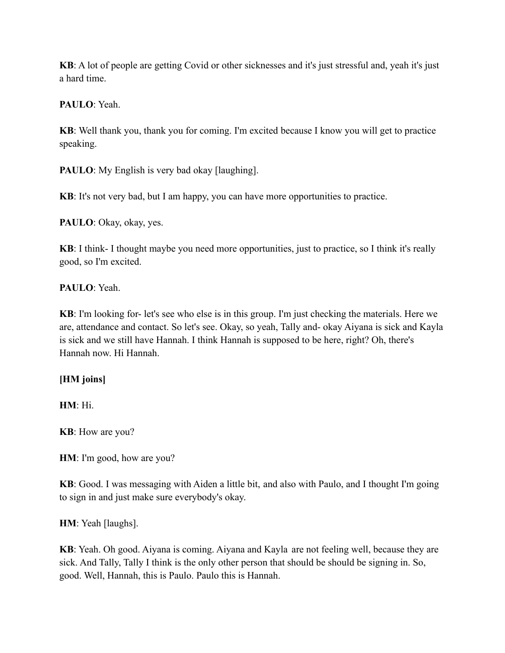**KB**: A lot of people are getting Covid or other sicknesses and it's just stressful and, yeah it's just a hard time.

**PAULO**: Yeah.

**KB**: Well thank you, thank you for coming. I'm excited because I know you will get to practice speaking.

**PAULO**: My English is very bad okay [laughing].

**KB**: It's not very bad, but I am happy, you can have more opportunities to practice.

**PAULO**: Okay, okay, yes.

**KB**: I think- I thought maybe you need more opportunities, just to practice, so I think it's really good, so I'm excited.

## **PAULO**: Yeah.

**KB**: I'm looking for- let's see who else is in this group. I'm just checking the materials. Here we are, attendance and contact. So let's see. Okay, so yeah, Tally and- okay Aiyana is sick and Kayla is sick and we still have Hannah. I think Hannah is supposed to be here, right? Oh, there's Hannah now. Hi Hannah.

## **[HM joins]**

**HM**: Hi.

**KB**: How are you?

**HM**: I'm good, how are you?

**KB**: Good. I was messaging with Aiden a little bit, and also with Paulo, and I thought I'm going to sign in and just make sure everybody's okay.

**HM**: Yeah [laughs].

**KB**: Yeah. Oh good. Aiyana is coming. Aiyana and Kayla are not feeling well, because they are sick. And Tally, Tally I think is the only other person that should be should be signing in. So, good. Well, Hannah, this is Paulo. Paulo this is Hannah.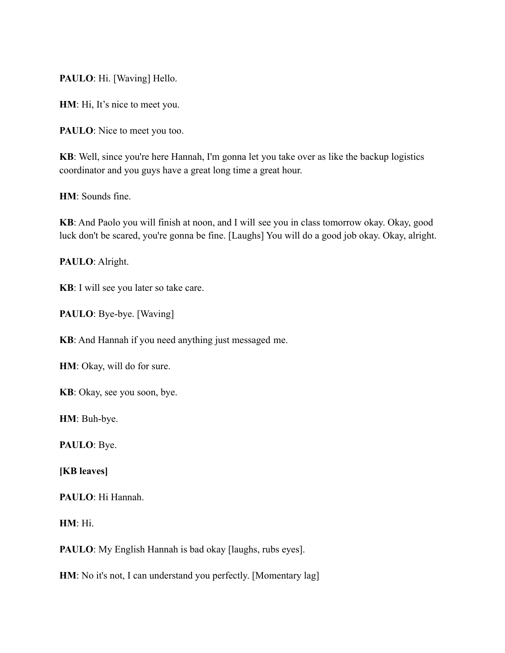**PAULO**: Hi. [Waving] Hello.

**HM**: Hi, It's nice to meet you.

**PAULO**: Nice to meet you too.

**KB**: Well, since you're here Hannah, I'm gonna let you take over as like the backup logistics coordinator and you guys have a great long time a great hour.

**HM**: Sounds fine.

**KB**: And Paolo you will finish at noon, and I will see you in class tomorrow okay. Okay, good luck don't be scared, you're gonna be fine. [Laughs] You will do a good job okay. Okay, alright.

**PAULO**: Alright.

**KB**: I will see you later so take care.

**PAULO**: Bye-bye. [Waving]

**KB**: And Hannah if you need anything just messaged me.

**HM**: Okay, will do for sure.

**KB**: Okay, see you soon, bye.

**HM**: Buh-bye.

**PAULO**: Bye.

**[KB leaves]**

**PAULO**: Hi Hannah.

**HM**: Hi.

**PAULO**: My English Hannah is bad okay [laughs, rubs eyes].

**HM**: No it's not, I can understand you perfectly. [Momentary lag]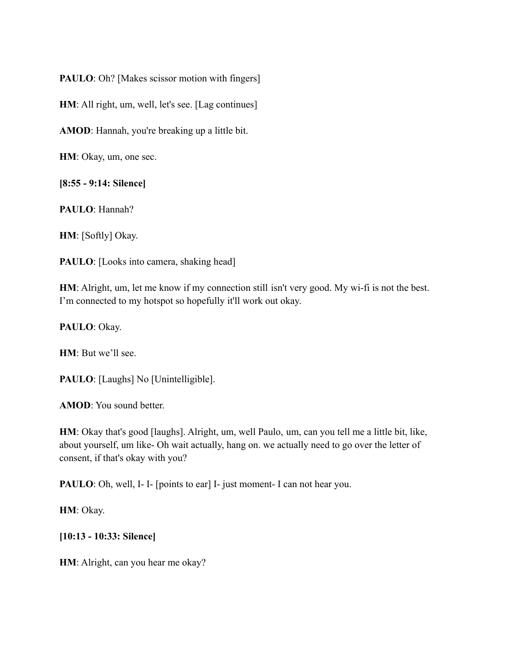**PAULO**: Oh? [Makes scissor motion with fingers]

**HM**: All right, um, well, let's see. [Lag continues]

**AMOD**: Hannah, you're breaking up a little bit.

**HM**: Okay, um, one sec.

**[8:55 - 9:14: Silence]**

**PAULO**: Hannah?

**HM**: [Softly] Okay.

**PAULO**: [Looks into camera, shaking head]

**HM**: Alright, um, let me know if my connection still isn't very good. My wi-fi is not the best. I'm connected to my hotspot so hopefully it'll work out okay.

**PAULO**: Okay.

**HM**: But we'll see.

**PAULO**: [Laughs] No [Unintelligible].

**AMOD**: You sound better.

**HM**: Okay that's good [laughs]. Alright, um, well Paulo, um, can you tell me a little bit, like, about yourself, um like- Oh wait actually, hang on. we actually need to go over the letter of consent, if that's okay with you?

**PAULO**: Oh, well, I-I- [points to ear] I- just moment- I can not hear you.

**HM**: Okay.

**[10:13 - 10:33: Silence]**

**HM**: Alright, can you hear me okay?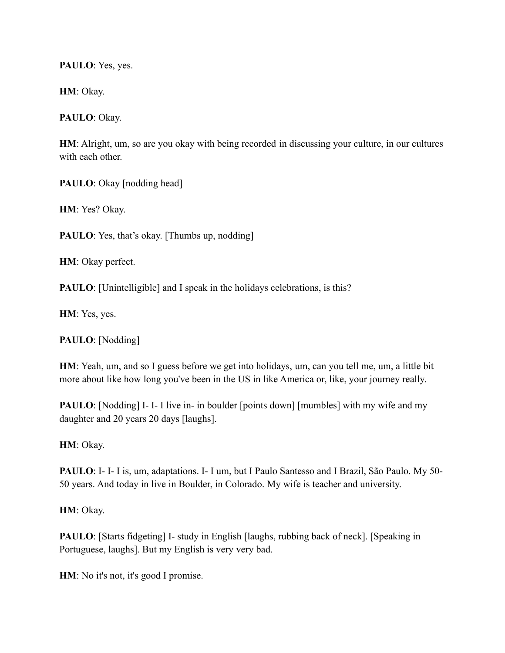**PAULO**: Yes, yes.

**HM**: Okay.

**PAULO**: Okay.

**HM**: Alright, um, so are you okay with being recorded in discussing your culture, in our cultures with each other

**PAULO**: Okay [nodding head]

**HM**: Yes? Okay.

**PAULO**: Yes, that's okay. [Thumbs up, nodding]

**HM**: Okay perfect.

**PAULO**: [Unintelligible] and I speak in the holidays celebrations, is this?

**HM**: Yes, yes.

**PAULO**: [Nodding]

**HM**: Yeah, um, and so I guess before we get into holidays, um, can you tell me, um, a little bit more about like how long you've been in the US in like America or, like, your journey really.

**PAULO**: [Nodding] I- I- I live in- in boulder [points down] [mumbles] with my wife and my daughter and 20 years 20 days [laughs].

**HM**: Okay.

**PAULO**: I- I- I is, um, adaptations. I- I um, but I Paulo Santesso and I Brazil, São Paulo. My 50- 50 years. And today in live in Boulder, in Colorado. My wife is teacher and university.

**HM**: Okay.

**PAULO**: [Starts fidgeting] I- study in English [laughs, rubbing back of neck]. [Speaking in Portuguese, laughs]. But my English is very very bad.

**HM**: No it's not, it's good I promise.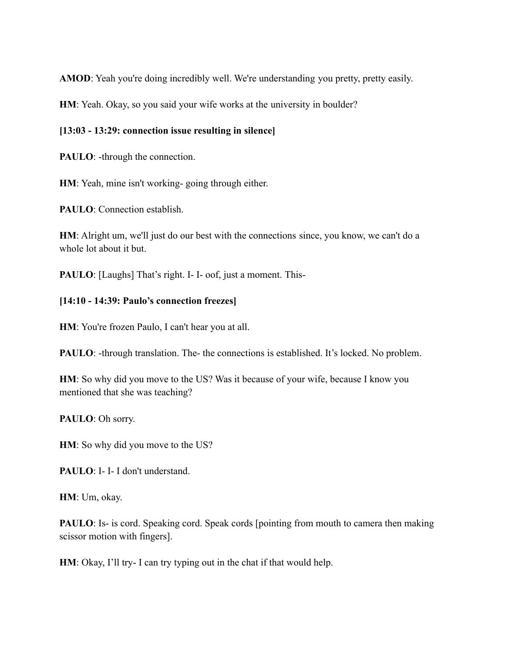**AMOD**: Yeah you're doing incredibly well. We're understanding you pretty, pretty easily.

**HM**: Yeah. Okay, so you said your wife works at the university in boulder?

#### **[13:03 - 13:29: connection issue resulting in silence]**

**PAULO**: -through the connection.

**HM**: Yeah, mine isn't working- going through either.

**PAULO**: Connection establish.

**HM**: Alright um, we'll just do our best with the connections since, you know, we can't do a whole lot about it but.

**PAULO**: [Laughs] That's right. I-I- oof, just a moment. This-

#### **[14:10 - 14:39: Paulo's connection freezes]**

**HM**: You're frozen Paulo, I can't hear you at all.

**PAULO**: -through translation. The- the connections is established. It's locked. No problem.

**HM**: So why did you move to the US? Was it because of your wife, because I know you mentioned that she was teaching?

**PAULO**: Oh sorry.

**HM**: So why did you move to the US?

**PAULO**: I- I- I don't understand.

**HM**: Um, okay.

**PAULO**: Is- is cord. Speaking cord. Speak cords [pointing from mouth to camera then making scissor motion with fingers].

**HM**: Okay, I'll try- I can try typing out in the chat if that would help.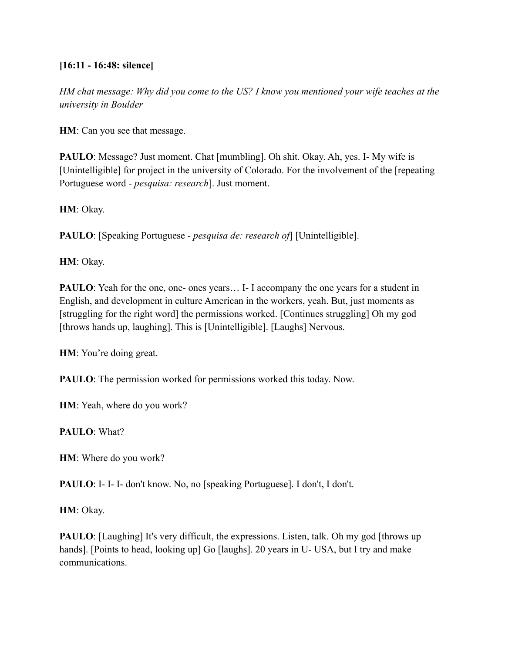### **[16:11 - 16:48: silence]**

*HM chat message: Why did you come to the US? I know you mentioned your wife teaches at the university in Boulder*

**HM**: Can you see that message.

**PAULO**: Message? Just moment. Chat [mumbling]. Oh shit. Okay. Ah, yes. I- My wife is [Unintelligible] for project in the university of Colorado. For the involvement of the [repeating Portuguese word - *pesquisa: research*]. Just moment.

**HM**: Okay.

**PAULO**: [Speaking Portuguese - *pesquisa de: research of*] [Unintelligible].

**HM**: Okay.

**PAULO**: Yeah for the one, one- ones years... I- I accompany the one years for a student in English, and development in culture American in the workers, yeah. But, just moments as [struggling for the right word] the permissions worked. [Continues struggling] Oh my god [throws hands up, laughing]. This is [Unintelligible]. [Laughs] Nervous.

**HM**: You're doing great.

**PAULO**: The permission worked for permissions worked this today. Now.

**HM**: Yeah, where do you work?

**PAULO**: What?

**HM**: Where do you work?

**PAULO**: I- I- I- don't know. No, no [speaking Portuguese]. I don't, I don't.

**HM**: Okay.

**PAULO**: [Laughing] It's very difficult, the expressions. Listen, talk. Oh my god [throws up hands]. [Points to head, looking up] Go [laughs]. 20 years in U- USA, but I try and make communications.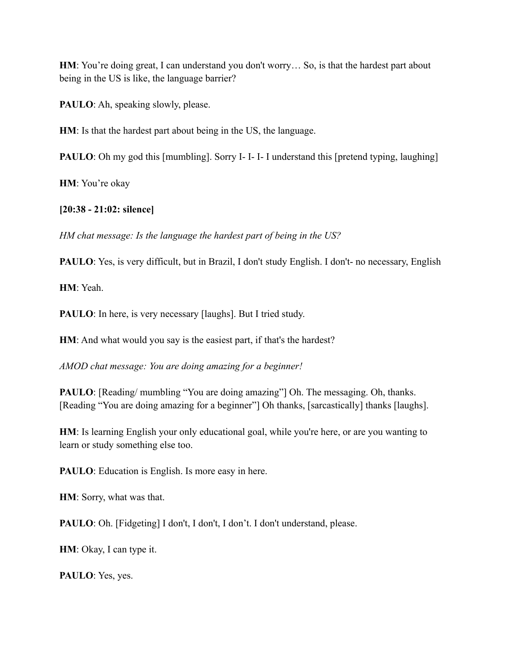**HM**: You're doing great, I can understand you don't worry... So, is that the hardest part about being in the US is like, the language barrier?

PAULO: Ah, speaking slowly, please.

**HM**: Is that the hardest part about being in the US, the language.

**PAULO**: Oh my god this [mumbling]. Sorry I-I-I-I understand this [pretend typing, laughing]

**HM**: You're okay

**[20:38 - 21:02: silence]**

*HM chat message: Is the language the hardest part of being in the US?*

**PAULO**: Yes, is very difficult, but in Brazil, I don't study English. I don't- no necessary, English

**HM**: Yeah.

**PAULO**: In here, is very necessary [laughs]. But I tried study.

**HM**: And what would you say is the easiest part, if that's the hardest?

*AMOD chat message: You are doing amazing for a beginner!*

**PAULO**: [Reading/ mumbling "You are doing amazing"] Oh. The messaging. Oh, thanks. [Reading "You are doing amazing for a beginner"] Oh thanks, [sarcastically] thanks [laughs].

**HM**: Is learning English your only educational goal, while you're here, or are you wanting to learn or study something else too.

**PAULO**: Education is English. Is more easy in here.

**HM**: Sorry, what was that.

PAULO: Oh. [Fidgeting] I don't, I don't, I don't. I don't understand, please.

**HM**: Okay, I can type it.

**PAULO**: Yes, yes.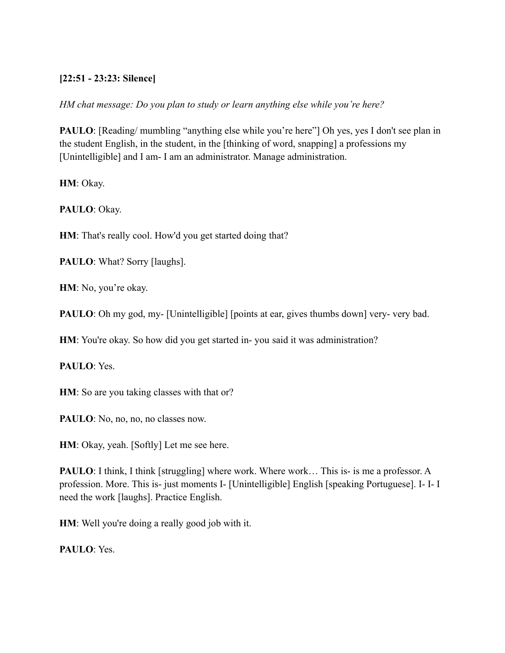### **[22:51 - 23:23: Silence]**

*HM chat message: Do you plan to study or learn anything else while you're here?*

**PAULO**: [Reading/ mumbling "anything else while you're here"] Oh yes, yes I don't see plan in the student English, in the student, in the [thinking of word, snapping] a professions my [Unintelligible] and I am- I am an administrator. Manage administration.

**HM**: Okay.

**PAULO**: Okay.

**HM**: That's really cool. How'd you get started doing that?

**PAULO**: What? Sorry [laughs].

**HM**: No, you're okay.

**PAULO**: Oh my god, my- [Unintelligible] [points at ear, gives thumbs down] very- very bad.

**HM**: You're okay. So how did you get started in-you said it was administration?

**PAULO**: Yes.

**HM**: So are you taking classes with that or?

**PAULO**: No, no, no, no classes now.

**HM**: Okay, yeah. [Softly] Let me see here.

**PAULO**: I think, I think [struggling] where work. Where work... This is- is me a professor. A profession. More. This is- just moments I- [Unintelligible] English [speaking Portuguese]. I- I- I need the work [laughs]. Practice English.

**HM**: Well you're doing a really good job with it.

**PAULO**: Yes.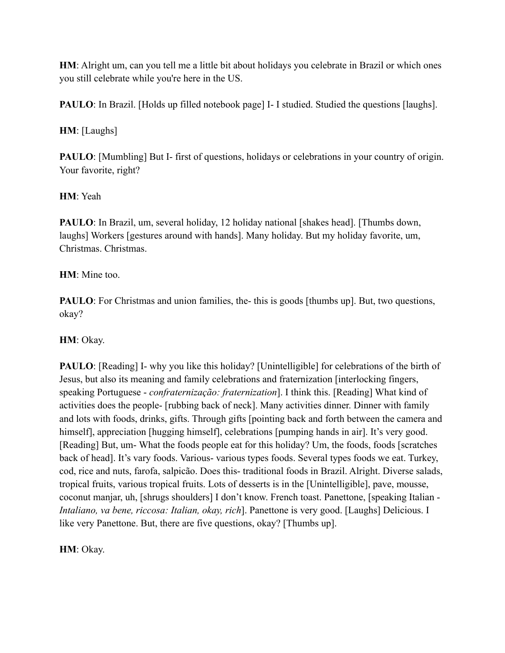**HM**: Alright um, can you tell me a little bit about holidays you celebrate in Brazil or which ones you still celebrate while you're here in the US.

**PAULO**: In Brazil. [Holds up filled notebook page] I- I studied. Studied the questions [laughs].

## **HM**: [Laughs]

**PAULO**: [Mumbling] But I- first of questions, holidays or celebrations in your country of origin. Your favorite, right?

## **HM**: Yeah

**PAULO**: In Brazil, um, several holiday, 12 holiday national [shakes head]. [Thumbs down, laughs] Workers [gestures around with hands]. Many holiday. But my holiday favorite, um, Christmas. Christmas.

## **HM**: Mine too.

**PAULO**: For Christmas and union families, the- this is goods [thumbs up]. But, two questions, okay?

## **HM**: Okay.

**PAULO**: [Reading] I- why you like this holiday? [Unintelligible] for celebrations of the birth of Jesus, but also its meaning and family celebrations and fraternization [interlocking fingers, speaking Portuguese - *confraternização: fraternization*]. I think this. [Reading] What kind of activities does the people- [rubbing back of neck]. Many activities dinner. Dinner with family and lots with foods, drinks, gifts. Through gifts [pointing back and forth between the camera and himself], appreciation [hugging himself], celebrations [pumping hands in air]. It's very good. [Reading] But, um- What the foods people eat for this holiday? Um, the foods, foods [scratches back of head]. It's vary foods. Various- various types foods. Several types foods we eat. Turkey, cod, rice and nuts, farofa, salpicão. Does this- traditional foods in Brazil. Alright. Diverse salads, tropical fruits, various tropical fruits. Lots of desserts is in the [Unintelligible], pave, mousse, coconut manjar, uh, [shrugs shoulders] I don't know. French toast. Panettone, [speaking Italian - *Intaliano, va bene, riccosa: Italian, okay, rich*]. Panettone is very good. [Laughs] Delicious. I like very Panettone. But, there are five questions, okay? [Thumbs up].

**HM**: Okay.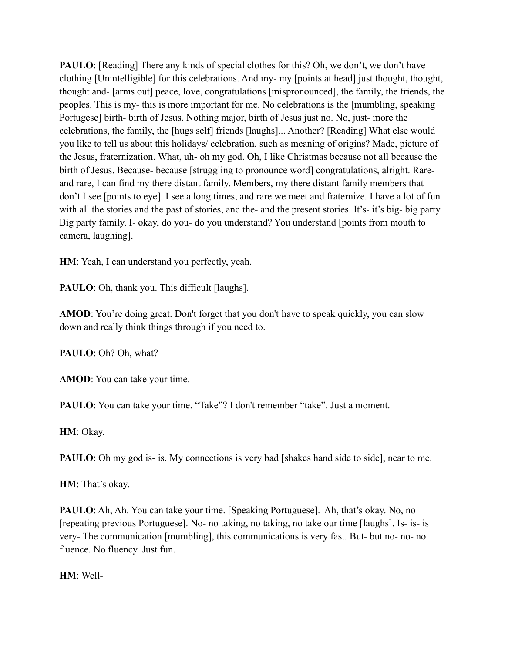**PAULO**: [Reading] There any kinds of special clothes for this? Oh, we don't, we don't have clothing [Unintelligible] for this celebrations. And my- my [points at head] just thought, thought, thought and- [arms out] peace, love, congratulations [mispronounced], the family, the friends, the peoples. This is my- this is more important for me. No celebrations is the [mumbling, speaking Portugese] birth- birth of Jesus. Nothing major, birth of Jesus just no. No, just- more the celebrations, the family, the [hugs self] friends [laughs]... Another? [Reading] What else would you like to tell us about this holidays/ celebration, such as meaning of origins? Made, picture of the Jesus, fraternization. What, uh- oh my god. Oh, I like Christmas because not all because the birth of Jesus. Because- because [struggling to pronounce word] congratulations, alright. Rareand rare, I can find my there distant family. Members, my there distant family members that don't I see [points to eye]. I see a long times, and rare we meet and fraternize. I have a lot of fun with all the stories and the past of stories, and the- and the present stories. It's- it's big- big party. Big party family. I- okay, do you- do you understand? You understand [points from mouth to camera, laughing].

**HM**: Yeah, I can understand you perfectly, yeah.

**PAULO**: Oh, thank you. This difficult [laughs].

**AMOD**: You're doing great. Don't forget that you don't have to speak quickly, you can slow down and really think things through if you need to.

**PAULO**: Oh? Oh, what?

**AMOD**: You can take your time.

PAULO: You can take your time. "Take"? I don't remember "take". Just a moment.

**HM**: Okay.

**PAULO**: Oh my god is- is. My connections is very bad [shakes hand side to side], near to me.

**HM**: That's okay.

**PAULO**: Ah, Ah. You can take your time. [Speaking Portuguese]. Ah, that's okay. No, no [repeating previous Portuguese]. No- no taking, no taking, no take our time [laughs]. Is- is- is very- The communication [mumbling], this communications is very fast. But- but no- no- no fluence. No fluency. Just fun.

**HM**: Well-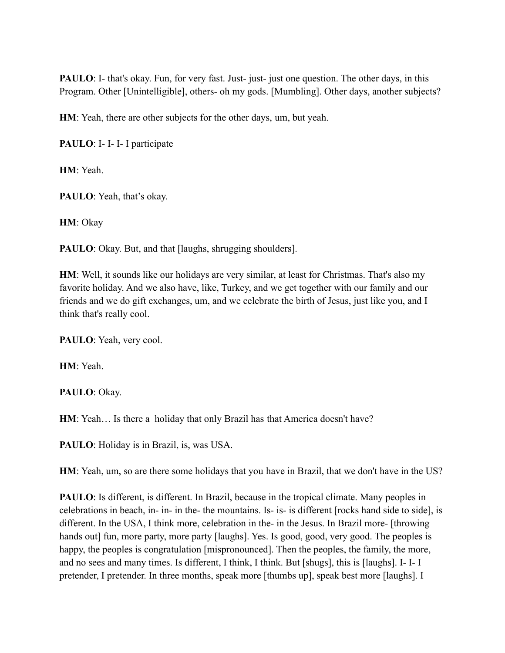**PAULO**: I- that's okay. Fun, for very fast. Just- just- just one question. The other days, in this Program. Other [Unintelligible], others- oh my gods. [Mumbling]. Other days, another subjects?

**HM**: Yeah, there are other subjects for the other days, um, but yeah.

**PAULO**: I- I- I- I participate

**HM**: Yeah.

**PAULO**: Yeah, that's okay.

**HM**: Okay

**PAULO**: Okay. But, and that [laughs, shrugging shoulders].

**HM**: Well, it sounds like our holidays are very similar, at least for Christmas. That's also my favorite holiday. And we also have, like, Turkey, and we get together with our family and our friends and we do gift exchanges, um, and we celebrate the birth of Jesus, just like you, and I think that's really cool.

**PAULO**: Yeah, very cool.

**HM**: Yeah.

**PAULO**: Okay.

**HM**: Yeah… Is there a holiday that only Brazil has that America doesn't have?

**PAULO**: Holiday is in Brazil, is, was USA.

**HM**: Yeah, um, so are there some holidays that you have in Brazil, that we don't have in the US?

**PAULO**: Is different, is different. In Brazil, because in the tropical climate. Many peoples in celebrations in beach, in- in- in the- the mountains. Is- is- is different [rocks hand side to side], is different. In the USA, I think more, celebration in the- in the Jesus. In Brazil more- [throwing hands out] fun, more party, more party [laughs]. Yes. Is good, good, very good. The peoples is happy, the peoples is congratulation [mispronounced]. Then the peoples, the family, the more, and no sees and many times. Is different, I think, I think. But [shugs], this is [laughs]. I- I- I pretender, I pretender. In three months, speak more [thumbs up], speak best more [laughs]. I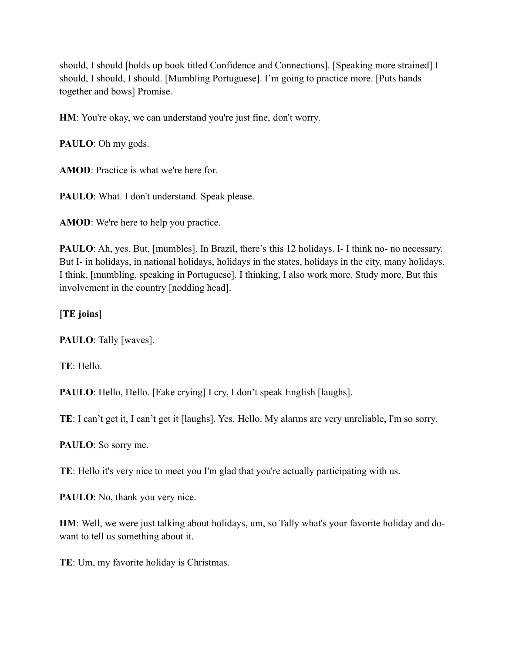should, I should [holds up book titled Confidence and Connections]. [Speaking more strained] I should, I should, I should. [Mumbling Portuguese]. I'm going to practice more. [Puts hands together and bows] Promise.

HM: You're okay, we can understand you're just fine, don't worry.

**PAULO**: Oh my gods.

**AMOD**: Practice is what we're here for.

PAULO: What. I don't understand. Speak please.

**AMOD**: We're here to help you practice.

**PAULO**: Ah, yes. But, [mumbles]. In Brazil, there's this 12 holidays. I- I think no- no necessary. But I- in holidays, in national holidays, holidays in the states, holidays in the city, many holidays. I think, [mumbling, speaking in Portuguese]. I thinking, I also work more. Study more. But this involvement in the country [nodding head].

## **[TE joins]**

**PAULO**: Tally [waves].

**TE**: Hello.

**PAULO**: Hello, Hello. [Fake crying] I cry, I don't speak English [laughs].

**TE**: I can't get it, I can't get it [laughs]. Yes, Hello. My alarms are very unreliable, I'm so sorry.

**PAULO**: So sorry me.

**TE**: Hello it's very nice to meet you I'm glad that you're actually participating with us.

**PAULO**: No, thank you very nice.

**HM**: Well, we were just talking about holidays, um, so Tally what's your favorite holiday and dowant to tell us something about it.

**TE**: Um, my favorite holiday is Christmas.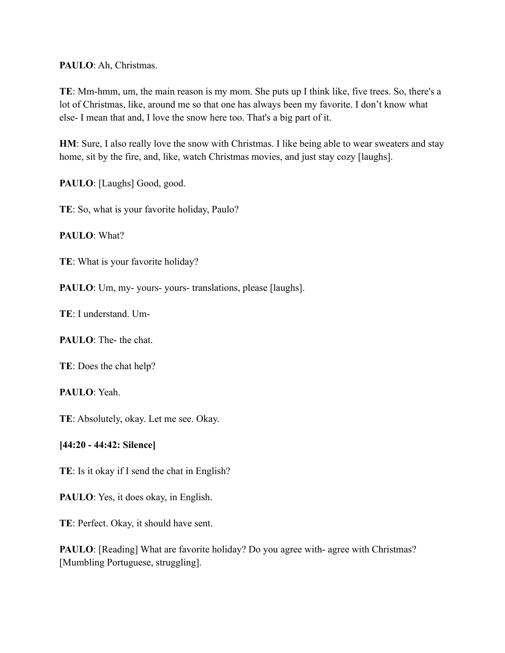#### **PAULO**: Ah, Christmas.

**TE**: Mm-hmm, um, the main reason is my mom. She puts up I think like, five trees. So, there's a lot of Christmas, like, around me so that one has always been my favorite. I don't know what else- I mean that and, I love the snow here too. That's a big part of it.

**HM**: Sure, I also really love the snow with Christmas. I like being able to wear sweaters and stay home, sit by the fire, and, like, watch Christmas movies, and just stay cozy [laughs].

PAULO: [Laughs] Good, good.

**TE**: So, what is your favorite holiday, Paulo?

**PAULO**: What?

**TE**: What is your favorite holiday?

**PAULO**: Um, my- yours- yours- translations, please [laughs].

**TE**: I understand. Um-

**PAULO**: The- the chat.

**TE**: Does the chat help?

**PAULO**: Yeah.

**TE**: Absolutely, okay. Let me see. Okay.

#### **[44:20 - 44:42: Silence]**

**TE**: Is it okay if I send the chat in English?

**PAULO**: Yes, it does okay, in English.

**TE**: Perfect. Okay, it should have sent.

**PAULO**: [Reading] What are favorite holiday? Do you agree with- agree with Christmas? [Mumbling Portuguese, struggling].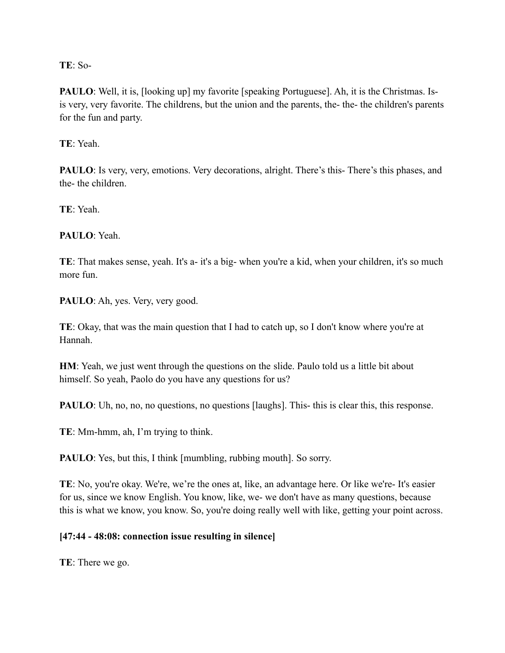**TE**: So-

**PAULO**: Well, it is, [looking up] my favorite [speaking Portuguese]. Ah, it is the Christmas. Isis very, very favorite. The childrens, but the union and the parents, the- the- the children's parents for the fun and party.

**TE**: Yeah.

**PAULO**: Is very, very, emotions. Very decorations, alright. There's this- There's this phases, and the- the children.

**TE**: Yeah.

**PAULO**: Yeah.

**TE**: That makes sense, yeah. It's a- it's a big- when you're a kid, when your children, it's so much more fun.

PAULO: Ah, yes. Very, very good.

**TE**: Okay, that was the main question that I had to catch up, so I don't know where you're at Hannah.

**HM**: Yeah, we just went through the questions on the slide. Paulo told us a little bit about himself. So yeah, Paolo do you have any questions for us?

**PAULO**: Uh, no, no, no questions, no questions [laughs]. This- this is clear this, this response.

**TE**: Mm-hmm, ah, I'm trying to think.

**PAULO**: Yes, but this, I think [mumbling, rubbing mouth]. So sorry.

**TE**: No, you're okay. We're, we're the ones at, like, an advantage here. Or like we're- It's easier for us, since we know English. You know, like, we- we don't have as many questions, because this is what we know, you know. So, you're doing really well with like, getting your point across.

#### **[47:44 - 48:08: connection issue resulting in silence]**

**TE**: There we go.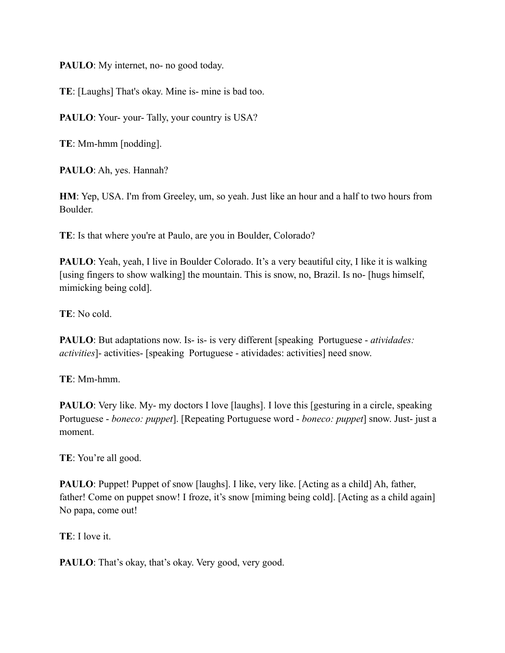**PAULO**: My internet, no- no good today.

**TE**: [Laughs] That's okay. Mine is- mine is bad too.

PAULO: Your- your- Tally, your country is USA?

**TE**: Mm-hmm [nodding].

**PAULO**: Ah, yes. Hannah?

**HM**: Yep, USA. I'm from Greeley, um, so yeah. Just like an hour and a half to two hours from Boulder.

TE: Is that where you're at Paulo, are you in Boulder, Colorado?

**PAULO**: Yeah, yeah, I live in Boulder Colorado. It's a very beautiful city, I like it is walking [using fingers to show walking] the mountain. This is snow, no, Brazil. Is no- [hugs himself, mimicking being cold].

**TE**: No cold.

**PAULO**: But adaptations now. Is- is- is very different [speaking Portuguese - *atividades: activities*]- activities- [speaking Portuguese - atividades: activities] need snow.

**TE**: Mm-hmm.

**PAULO**: Very like. My- my doctors I love [laughs]. I love this [gesturing in a circle, speaking Portuguese - *boneco: puppet*]. [Repeating Portuguese word - *boneco: puppet*] snow. Just- just a moment.

**TE**: You're all good.

**PAULO**: Puppet! Puppet of snow [laughs]. I like, very like. [Acting as a child] Ah, father, father! Come on puppet snow! I froze, it's snow [miming being cold]. [Acting as a child again] No papa, come out!

**TE**: I love it.

**PAULO**: That's okay, that's okay. Very good, very good.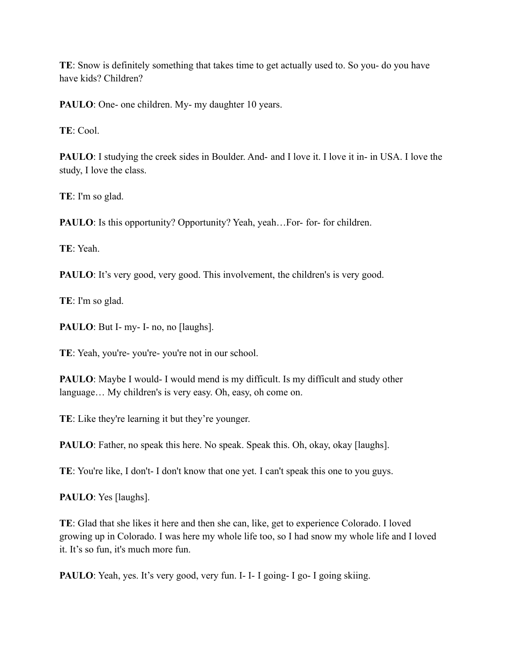**TE**: Snow is definitely something that takes time to get actually used to. So you- do you have have kids? Children?

**PAULO**: One- one children. My- my daughter 10 years.

**TE**: Cool.

**PAULO**: I studying the creek sides in Boulder. And- and I love it. I love it in- in USA. I love the study, I love the class.

**TE**: I'm so glad.

**PAULO**: Is this opportunity? Opportunity? Yeah, yeah…For- for- for children.

**TE**: Yeah.

**PAULO**: It's very good, very good. This involvement, the children's is very good.

**TE**: I'm so glad.

PAULO: But I- my- I- no, no [laughs].

**TE**: Yeah, you're- you're- you're not in our school.

**PAULO**: Maybe I would- I would mend is my difficult. Is my difficult and study other language… My children's is very easy. Oh, easy, oh come on.

**TE**: Like they're learning it but they're younger.

**PAULO**: Father, no speak this here. No speak. Speak this. Oh, okay, okay [laughs].

**TE**: You're like, I don't- I don't know that one yet. I can't speak this one to you guys.

**PAULO**: Yes [laughs].

**TE**: Glad that she likes it here and then she can, like, get to experience Colorado. I loved growing up in Colorado. I was here my whole life too, so I had snow my whole life and I loved it. It's so fun, it's much more fun.

**PAULO**: Yeah, yes. It's very good, very fun. I- I- I going- I go- I going skiing.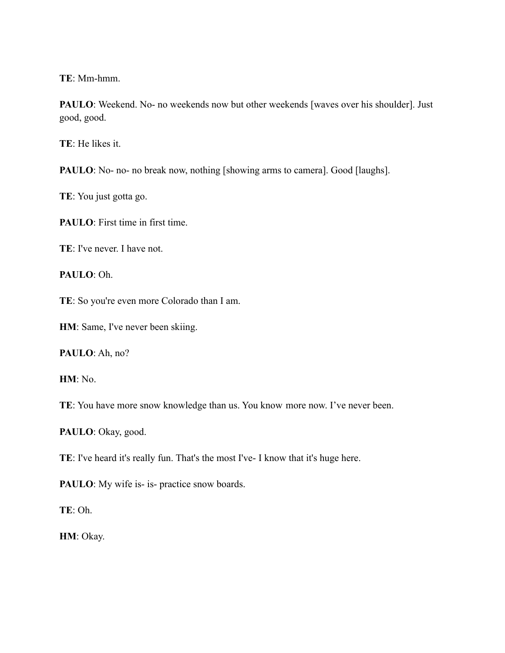**TE**: Mm-hmm.

PAULO: Weekend. No- no weekends now but other weekends [waves over his shoulder]. Just good, good.

**TE**: He likes it.

**PAULO**: No- no- no break now, nothing [showing arms to camera]. Good [laughs].

**TE**: You just gotta go.

**PAULO**: First time in first time.

**TE**: I've never. I have not.

**PAULO**: Oh.

**TE**: So you're even more Colorado than I am.

**HM**: Same, I've never been skiing.

**PAULO**: Ah, no?

**HM**: No.

**TE**: You have more snow knowledge than us. You know more now. I've never been.

**PAULO**: Okay, good.

**TE**: I've heard it's really fun. That's the most I've- I know that it's huge here.

PAULO: My wife is- is- practice snow boards.

**TE**: Oh.

**HM**: Okay.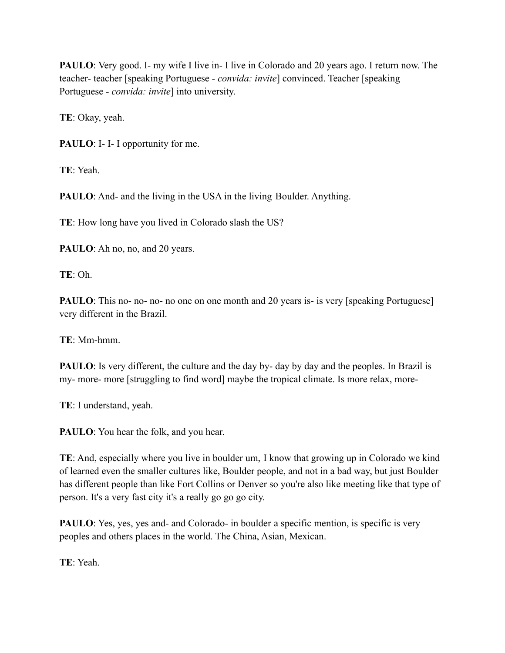**PAULO**: Very good. I- my wife I live in- I live in Colorado and 20 years ago. I return now. The teacher- teacher [speaking Portuguese - *convida: invite*] convinced. Teacher [speaking Portuguese - *convida: invite*] into university.

**TE**: Okay, yeah.

**PAULO**: I- I- I opportunity for me.

**TE**: Yeah.

**PAULO**: And- and the living in the USA in the living Boulder. Anything.

**TE**: How long have you lived in Colorado slash the US?

PAULO: Ah no, no, and 20 years.

**TE**: Oh.

**PAULO**: This no- no- no- no one on one month and 20 years is- is very [speaking Portuguese] very different in the Brazil.

**TE**: Mm-hmm.

**PAULO**: Is very different, the culture and the day by- day by day and the peoples. In Brazil is my- more- more [struggling to find word] maybe the tropical climate. Is more relax, more-

**TE**: I understand, yeah.

**PAULO**: You hear the folk, and you hear.

**TE**: And, especially where you live in boulder um, I know that growing up in Colorado we kind of learned even the smaller cultures like, Boulder people, and not in a bad way, but just Boulder has different people than like Fort Collins or Denver so you're also like meeting like that type of person. It's a very fast city it's a really go go go city.

**PAULO**: Yes, yes, yes and- and Colorado- in boulder a specific mention, is specific is very peoples and others places in the world. The China, Asian, Mexican.

**TE**: Yeah.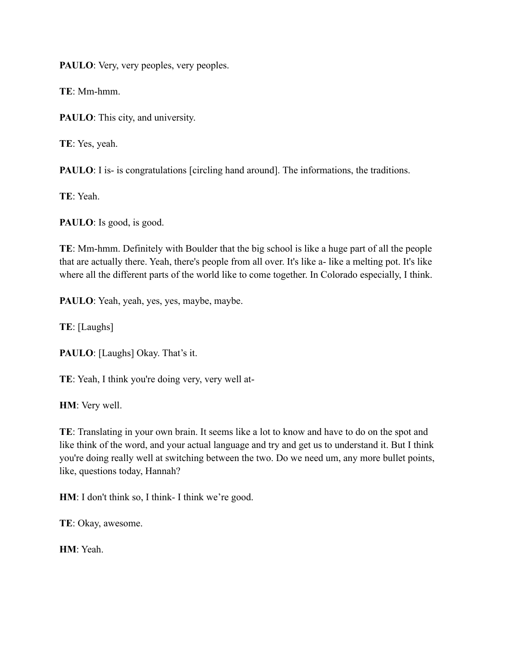PAULO: Very, very peoples, very peoples.

**TE**: Mm-hmm.

PAULO: This city, and university.

**TE**: Yes, yeah.

**PAULO**: I is- is congratulations [circling hand around]. The informations, the traditions.

**TE**: Yeah.

**PAULO**: Is good, is good.

**TE**: Mm-hmm. Definitely with Boulder that the big school is like a huge part of all the people that are actually there. Yeah, there's people from all over. It's like a- like a melting pot. It's like where all the different parts of the world like to come together. In Colorado especially, I think.

PAULO: Yeah, yeah, yes, yes, maybe, maybe.

**TE**: [Laughs]

**PAULO**: [Laughs] Okay. That's it.

**TE**: Yeah, I think you're doing very, very well at-

**HM**: Very well.

**TE**: Translating in your own brain. It seems like a lot to know and have to do on the spot and like think of the word, and your actual language and try and get us to understand it. But I think you're doing really well at switching between the two. Do we need um, any more bullet points, like, questions today, Hannah?

**HM**: I don't think so, I think- I think we're good.

**TE**: Okay, awesome.

**HM**: Yeah.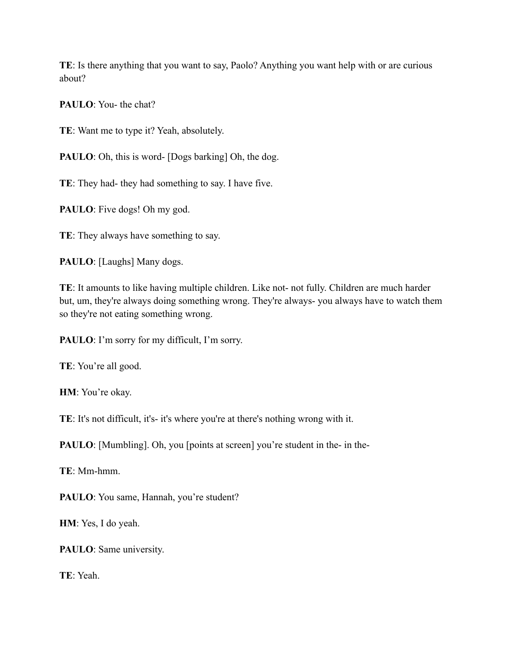**TE**: Is there anything that you want to say, Paolo? Anything you want help with or are curious about?

**PAULO**: You- the chat?

**TE**: Want me to type it? Yeah, absolutely.

**PAULO**: Oh, this is word- [Dogs barking] Oh, the dog.

**TE**: They had- they had something to say. I have five.

**PAULO**: Five dogs! Oh my god.

**TE**: They always have something to say.

PAULO: [Laughs] Many dogs.

**TE**: It amounts to like having multiple children. Like not- not fully. Children are much harder but, um, they're always doing something wrong. They're always- you always have to watch them so they're not eating something wrong.

PAULO: I'm sorry for my difficult, I'm sorry.

**TE**: You're all good.

**HM**: You're okay.

**TE**: It's not difficult, it's- it's where you're at there's nothing wrong with it.

**PAULO**: [Mumbling]. Oh, you [points at screen] you're student in the- in the-

**TE**: Mm-hmm.

PAULO: You same, Hannah, you're student?

**HM**: Yes, I do yeah.

**PAULO**: Same university.

**TE**: Yeah.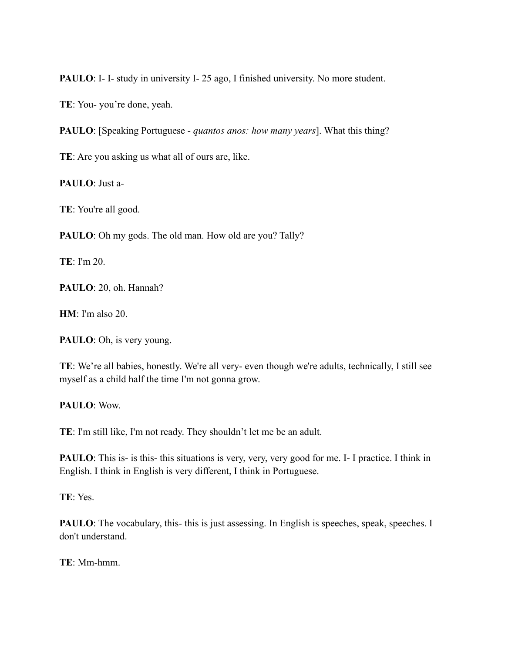**PAULO**: I- I- study in university I- 25 ago, I finished university. No more student.

**TE**: You- you're done, yeah.

**PAULO**: [Speaking Portuguese - *quantos anos: how many years*]. What this thing?

**TE**: Are you asking us what all of ours are, like.

**PAULO**: Just a-

**TE**: You're all good.

**PAULO**: Oh my gods. The old man. How old are you? Tally?

**TE**: I'm 20.

**PAULO**: 20, oh. Hannah?

**HM**: I'm also 20.

**PAULO**: Oh, is very young.

**TE**: We're all babies, honestly. We're all very- even though we're adults, technically, I still see myself as a child half the time I'm not gonna grow.

**PAULO**: Wow.

**TE**: I'm still like, I'm not ready. They shouldn't let me be an adult.

**PAULO**: This is- is this- this situations is very, very, very good for me. I- I practice. I think in English. I think in English is very different, I think in Portuguese.

**TE**: Yes.

**PAULO**: The vocabulary, this- this is just assessing. In English is speeches, speak, speeches. I don't understand.

**TE**: Mm-hmm.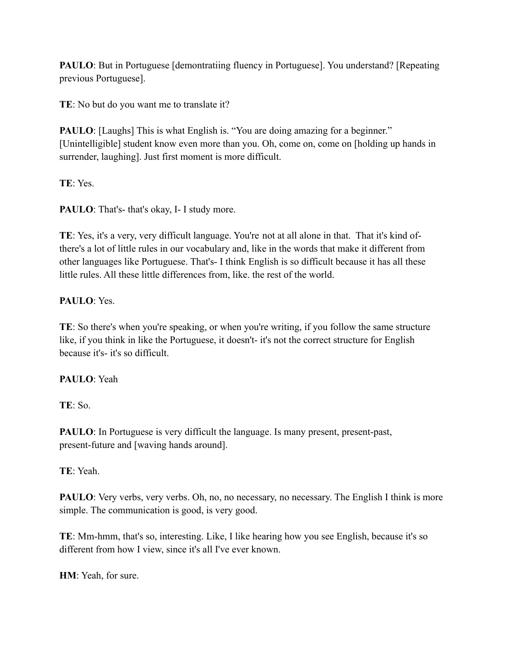**PAULO**: But in Portuguese [demontratiing fluency in Portuguese]. You understand? [Repeating previous Portuguese].

**TE**: No but do you want me to translate it?

**PAULO**: [Laughs] This is what English is. "You are doing amazing for a beginner." [Unintelligible] student know even more than you. Oh, come on, come on [holding up hands in surrender, laughing]. Just first moment is more difficult.

**TE**: Yes.

**PAULO**: That's-that's okay, I- I study more.

**TE**: Yes, it's a very, very difficult language. You're not at all alone in that. That it's kind ofthere's a lot of little rules in our vocabulary and, like in the words that make it different from other languages like Portuguese. That's- I think English is so difficult because it has all these little rules. All these little differences from, like. the rest of the world.

## **PAULO**: Yes.

**TE**: So there's when you're speaking, or when you're writing, if you follow the same structure like, if you think in like the Portuguese, it doesn't- it's not the correct structure for English because it's- it's so difficult.

### **PAULO**: Yeah

**TE**: So.

**PAULO**: In Portuguese is very difficult the language. Is many present, present-past, present-future and [waving hands around].

**TE**: Yeah.

**PAULO**: Very verbs, very verbs. Oh, no, no necessary, no necessary. The English I think is more simple. The communication is good, is very good.

**TE**: Mm-hmm, that's so, interesting. Like, I like hearing how you see English, because it's so different from how I view, since it's all I've ever known.

**HM**: Yeah, for sure.